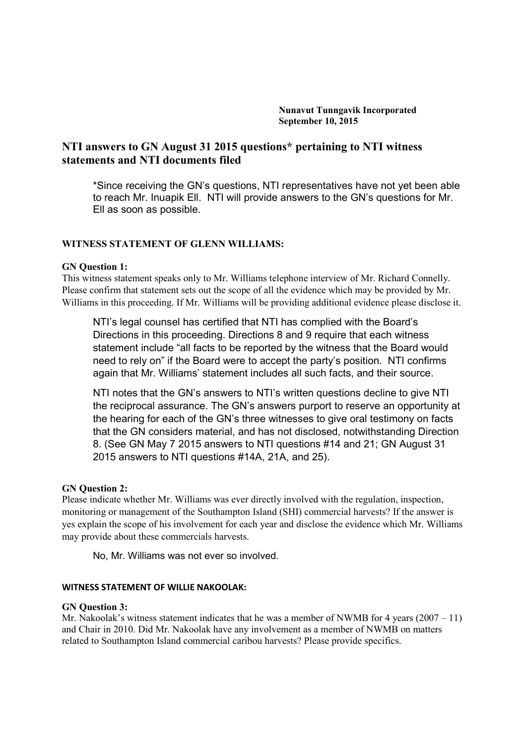### **Nunavut Tunngavik Incorporated September 10, 2015**

# **NTI answers to GN August 31 2015 questions\* pertaining to NTI witness statements and NTI documents filed**

\*Since receiving the GN's questions, NTI representatives have not yet been able to reach Mr. Inuapik Ell. NTI will provide answers to the GN's questions for Mr. Ell as soon as possible.

# **WITNESS STATEMENT OF GLENN WILLIAMS:**

### **GN Question 1:**

This witness statement speaks only to Mr. Williams telephone interview of Mr. Richard Connelly. Please confirm that statement sets out the scope of all the evidence which may be provided by Mr. Williams in this proceeding. If Mr. Williams will be providing additional evidence please disclose it.

NTI's legal counsel has certified that NTI has complied with the Board's Directions in this proceeding. Directions 8 and 9 require that each witness statement include "all facts to be reported by the witness that the Board would need to rely on" if the Board were to accept the party's position. NTI confirms again that Mr. Williams' statement includes all such facts, and their source.

NTI notes that the GN's answers to NTI's written questions decline to give NTI the reciprocal assurance. The GN's answers purport to reserve an opportunity at the hearing for each of the GN's three witnesses to give oral testimony on facts that the GN considers material, and has not disclosed, notwithstanding Direction 8. (See GN May 7 2015 answers to NTI questions #14 and 21; GN August 31 2015 answers to NTI questions #14A, 21A, and 25).

### **GN Question 2:**

Please indicate whether Mr. Williams was ever directly involved with the regulation, inspection, monitoring or management of the Southampton Island (SHI) commercial harvests? If the answer is yes explain the scope of his involvement for each year and disclose the evidence which Mr. Williams may provide about these commercials harvests.

No, Mr. Williams was not ever so involved.

#### **WITNESS STATEMENT OF WILLIE NAKOOLAK:**

#### **GN Question 3:**

Mr. Nakoolak's witness statement indicates that he was a member of NWMB for 4 years  $(2007 - 11)$ and Chair in 2010. Did Mr. Nakoolak have any involvement as a member of NWMB on matters related to Southampton Island commercial caribou harvests? Please provide specifics.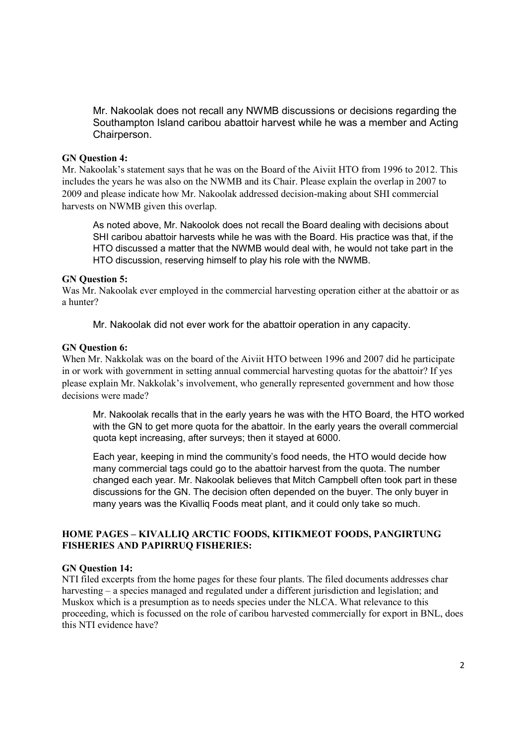Mr. Nakoolak does not recall any NWMB discussions or decisions regarding the Southampton Island caribou abattoir harvest while he was a member and Acting Chairperson.

### **GN Question 4:**

Mr. Nakoolak's statement says that he was on the Board of the Aiviit HTO from 1996 to 2012. This includes the years he was also on the NWMB and its Chair. Please explain the overlap in 2007 to 2009 and please indicate how Mr. Nakoolak addressed decision-making about SHI commercial harvests on NWMB given this overlap.

As noted above, Mr. Nakoolok does not recall the Board dealing with decisions about SHI caribou abattoir harvests while he was with the Board. His practice was that, if the HTO discussed a matter that the NWMB would deal with, he would not take part in the HTO discussion, reserving himself to play his role with the NWMB.

#### **GN Question 5:**

Was Mr. Nakoolak ever employed in the commercial harvesting operation either at the abattoir or as a hunter?

Mr. Nakoolak did not ever work for the abattoir operation in any capacity.

# **GN Question 6:**

When Mr. Nakkolak was on the board of the Aiviit HTO between 1996 and 2007 did he participate in or work with government in setting annual commercial harvesting quotas for the abattoir? If yes please explain Mr. Nakkolak's involvement, who generally represented government and how those decisions were made?

Mr. Nakoolak recalls that in the early years he was with the HTO Board, the HTO worked with the GN to get more quota for the abattoir. In the early years the overall commercial quota kept increasing, after surveys; then it stayed at 6000.

Each year, keeping in mind the community's food needs, the HTO would decide how many commercial tags could go to the abattoir harvest from the quota. The number changed each year. Mr. Nakoolak believes that Mitch Campbell often took part in these discussions for the GN. The decision often depended on the buyer. The only buyer in many years was the Kivalliq Foods meat plant, and it could only take so much.

# **HOME PAGES – KIVALLIQ ARCTIC FOODS, KITIKMEOT FOODS, PANGIRTUNG FISHERIES AND PAPIRRUQ FISHERIES:**

#### **GN Question 14:**

NTI filed excerpts from the home pages for these four plants. The filed documents addresses char harvesting – a species managed and regulated under a different jurisdiction and legislation; and Muskox which is a presumption as to needs species under the NLCA. What relevance to this proceeding, which is focussed on the role of caribou harvested commercially for export in BNL, does this NTI evidence have?